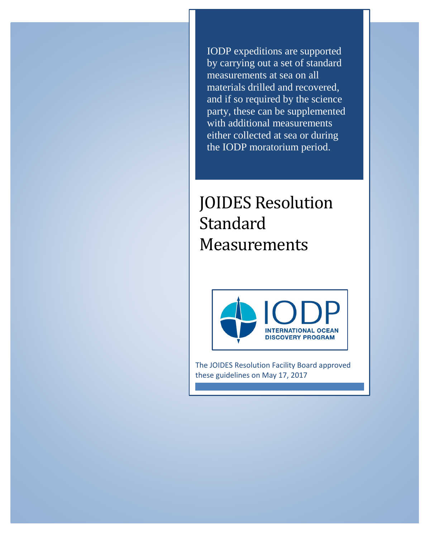IODP expeditions are supported by carrying out a set of standard measurements at sea on all materials drilled and recovered, and if so required by the science party, these can be supplemented with additional measurements either collected at sea or during the IODP moratorium period.

# JOIDES Resolution **Standard** Measurements



The JOIDES Resolution Facility Board approved these guidelines on May 17, 2017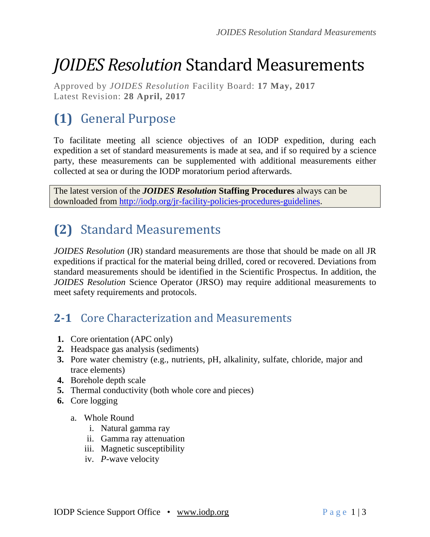# *JOIDES Resolution* Standard Measurements

Approved by *JOIDES Resolution* Facility Board: **17 May, 2017** Latest Revision: **28 April, 2017**

## **(1)** General Purpose

To facilitate meeting all science objectives of an IODP expedition, during each expedition a set of standard measurements is made at sea, and if so required by a science party, these measurements can be supplemented with additional measurements either collected at sea or during the IODP moratorium period afterwards.

The latest version of the *JOIDES Resolution* **Staffing Procedures** always can be downloaded from [http://iodp.org/jr-facility-policies-procedures-guidelines.](http://iodp.org/jr-facility-policies-procedures-guidelines)

### **(2)** Standard Measurements

*JOIDES Resolution* (JR) standard measurements are those that should be made on all JR expeditions if practical for the material being drilled, cored or recovered. Deviations from standard measurements should be identified in the Scientific Prospectus. In addition, the *JOIDES Resolution* Science Operator (JRSO) may require additional measurements to meet safety requirements and protocols.

### **2-1** Core Characterization and Measurements

- **1.** Core orientation (APC only)
- **2.** Headspace gas analysis (sediments)
- **3.** Pore water chemistry (e.g., nutrients, pH, alkalinity, sulfate, chloride, major and trace elements)
- **4.** Borehole depth scale
- **5.** Thermal conductivity (both whole core and pieces)
- **6.** Core logging
	- a. Whole Round
		- i. Natural gamma ray
		- ii. Gamma ray attenuation
		- iii. Magnetic susceptibility
		- iv. *P*-wave velocity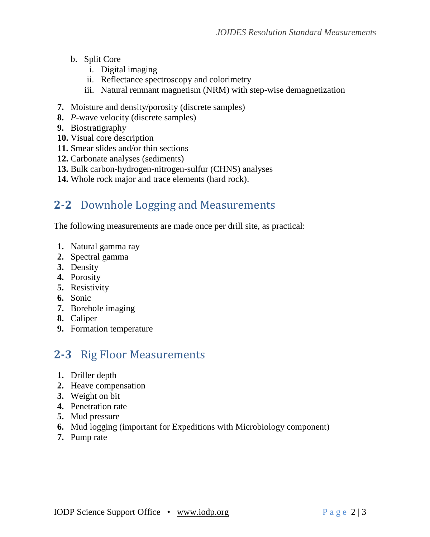- b. Split Core
	- i. Digital imaging
	- ii. Reflectance spectroscopy and colorimetry
	- iii. Natural remnant magnetism (NRM) with step-wise demagnetization
- **7.** Moisture and density/porosity (discrete samples)
- **8.** *P*-wave velocity (discrete samples)
- **9.** Biostratigraphy
- **10.** Visual core description
- **11.** Smear slides and/or thin sections
- **12.** Carbonate analyses (sediments)
- **13.** Bulk carbon-hydrogen-nitrogen-sulfur (CHNS) analyses
- **14.** Whole rock major and trace elements (hard rock).

#### **2-2** Downhole Logging and Measurements

The following measurements are made once per drill site, as practical:

- **1.** Natural gamma ray
- **2.** Spectral gamma
- **3.** Density
- **4.** Porosity
- **5.** Resistivity
- **6.** Sonic
- **7.** Borehole imaging
- **8.** Caliper
- **9.** Formation temperature

### **2-3** Rig Floor Measurements

- **1.** Driller depth
- **2.** Heave compensation
- **3.** Weight on bit
- **4.** Penetration rate
- **5.** Mud pressure
- **6.** Mud logging (important for Expeditions with Microbiology component)
- **7.** Pump rate